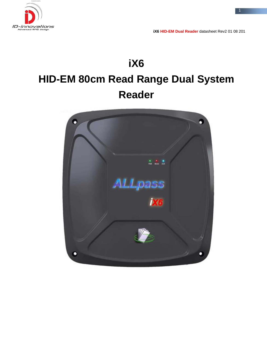

# **iX6 HID-EM 80cm Read Range Dual System Reader**

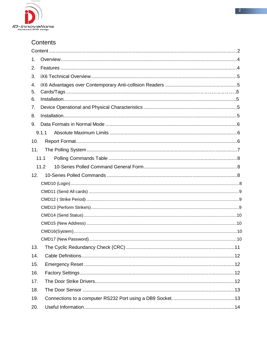

| 1.  |       |  |  |  |  |
|-----|-------|--|--|--|--|
| 2.  |       |  |  |  |  |
| 3.  |       |  |  |  |  |
| 4.  |       |  |  |  |  |
| 5.  |       |  |  |  |  |
| 6.  |       |  |  |  |  |
| 7.  |       |  |  |  |  |
| 8.  |       |  |  |  |  |
| 9.  |       |  |  |  |  |
|     | 9.1.1 |  |  |  |  |
| 10. |       |  |  |  |  |
| 11. |       |  |  |  |  |
|     | 11.1  |  |  |  |  |
|     | 11.2  |  |  |  |  |
| 12. |       |  |  |  |  |
|     |       |  |  |  |  |
|     |       |  |  |  |  |
|     |       |  |  |  |  |
|     |       |  |  |  |  |
|     |       |  |  |  |  |
|     |       |  |  |  |  |
|     |       |  |  |  |  |
|     |       |  |  |  |  |
| 13. |       |  |  |  |  |
| 14. |       |  |  |  |  |
| 15. |       |  |  |  |  |
| 16. |       |  |  |  |  |
| 17. |       |  |  |  |  |
| 18. |       |  |  |  |  |
| 19. |       |  |  |  |  |
| 20. |       |  |  |  |  |
|     |       |  |  |  |  |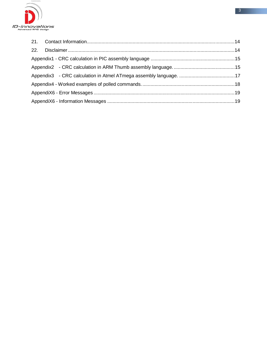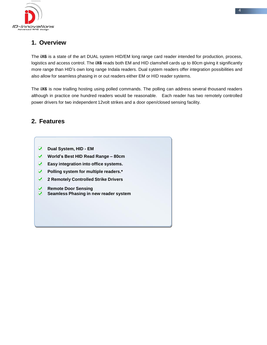

# **1. Overview**

The **iX6** is a state of the art DUAL system HID/EM long range card reader intended for production, process, logistics and access control. The **iX6** reads both EM and HID clamshell cards up to 80cm giving it significantly more range than HID's own long range Indala readers. Dual system readers offer integration possibilities and also allow for seamless phasing in or out readers either EM or HID reader systems.

The **iX6** is now trialling hosting using polled commands. The polling can address several thousand readers although in practice one hundred readers would be reasonable. Each reader has two remotely controlled power drivers for two independent 12volt strikes and a door open/closed sensing facility.

### **2. Features**

- **Dual System, HID - EM**
- **World's Best HID Read Range – 80cm**
- **Easy integration into office systems.**
- $\blacktriangledown$ **Polling system for multiple readers.\***
- $\sqrt{ }$ **2 Remotely Controlled Strike Drivers**
- ✔ **Remote Door Sensing**
- $\overline{\mathbf{v}}$ **Seamless Phasing in new reader system**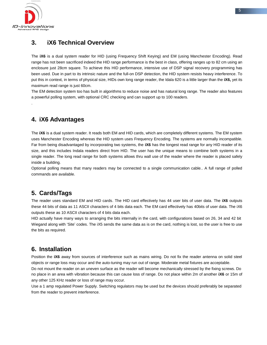

.

#### **3. iX6 Technical Overview**

The **iX6** is a dual system reader for HID (using Frequency Shift Keying) and EM (using Manchester Encoding). Read range has not been sacrificed indeed the HID range performance is the best in class, offering ranges up to 82 cm using an enclosure just 28cm square. To achieve this HID performance, intensive use of DSP signal recovery programming has been used. Due in part to its intrinsic nature and the full-on DSP detection, the HID system resists heavy interference. To put this in context, in terms of physical size, HIDs own long range reader, the Idala 620 is a little larger than the **iX6,** yet its maximum read range is just 60cm.

The EM detection system too has built in algorithms to reduce noise and has natural long range. The reader also features a powerful polling system, with optional CRC checking and can support up to 100 readers.

#### **4. iX6 Advantages**

The **iX6** is a dual system reader. It reads both EM and HID cards, which are completely different systems. The EM system uses Manchester Encoding whereas the HID system uses Frequency Encoding. The systems are normally incompatible. Far from being disadvantaged by incorporating two systems, the **iX6** has the longest read range for any HID reader of its size, and this includes Indala readers direct from HID. The user has the unique means to combine both systems in a single reader. The long read range for both systems allows thru wall use of the reader where the reader is placed safely inside a building.

Optional polling means that many readers may be connected to a single communication cable.. A full range of polled commands are available.

### **5. Cards/Tags**

The reader uses standard EM and HID cards. The HID card effectively has 44 user bits of user data. The **iX6** outputs these 44 bits of data as 11 ASCII characters of 4 bits data each. The EM card effectively has 40bits of user data. The iX6 outputs these as 10 ASCII characters of 4 bits data each.

HID actually have many ways to arranging the bits internally in the card, with configurations based on 26, 34 and 42 bit Wiegand along with 'Site' codes. The iX5 sends the same data as is on the card, nothing is lost, so the user is free to use the bits as required.

#### **6. Installation**

Position the **iX6** away from sources of interference such as mains wiring. Do not fix the reader antenna on solid steel objects or range loss may occur and the auto-tuning may run out of range. Moderate metal fixtures are acceptable.

Do not mount the reader on an uneven surface as the reader will become mechanically stressed by the fixing screws. Do no place in an area with vibration because this can cause loss of range. Do not place within 2m of another **iX6** or 15m of any other 125 KHz reader or loss of range may occur.

Use a 1 amp regulated Power Supply. Switching regulators may be used but the devices should preferably be separated from the reader to prevent interference.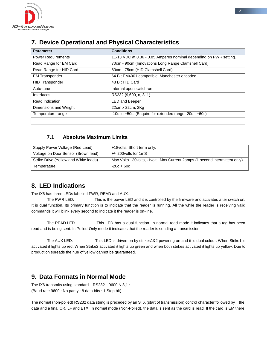

# **7. Device Operational and Physical Characteristics**

| <b>Parameter</b>          | <b>Conditions</b>                                                  |
|---------------------------|--------------------------------------------------------------------|
| <b>Power Requirements</b> | 11-13 VDC at 0.36 - 0.85 Amperes nominal depending on PWR setting. |
| Read Range for EM Card    | 70cm - 90cm (Innovations Long Range Clamshell Card)                |
| Read Range for HID Card   | 60cm - 75cm (HID Clamshell Card)                                   |
| <b>EM Transponder</b>     | 64 Bit EM4001 compatible, Manchester encoded                       |
| <b>HID Transponder</b>    | 48 Bit HID Card                                                    |
| Auto-tune                 | Internal upon switch-on                                            |
| Interfaces                | RS232 (9,600, n, 8, 1)                                             |
| <b>Read Indication</b>    | <b>LED and Beeper</b>                                              |
| Dimensions and Weight     | 22cm x 22cm, 2Kg                                                   |
| Temperature range         | $-10c$ to $+50c$ . (Enguire for extended range $-20c - +60c$ )     |
|                           |                                                                    |

#### **7.1 Absolute Maximum Limits**

| Supply Power Voltage (Red Lead)       | +18 volts. Short term only.                                                  |
|---------------------------------------|------------------------------------------------------------------------------|
| Voltage on Door Sensor (Brown lead)   | $+/- 200$ volts for 1mS                                                      |
| Strike Drive (Yellow and White leads) | Max Volts +30 volts, -1 volt: Max Current 2amps (1 second intermittent only) |
| Temperature                           | $-20c + 60c$                                                                 |

#### **8. LED Indications**

The iX6 has three LEDs labelled PWR, READ and AUX.

The PWR LED. This is the power LED and it is controlled by the firmware and activates after switch on. It is dual function. Its primary function is to indicate that the reader is running. All the while the reader is receiving valid commands it will blink every second to indicate it the reader is on-line.

The READ LED. This LED has a dual function. In normal read mode it indicates that a tag has been read and is being sent. In Polled-Only mode it indicates that the reader is sending a transmission.

The AUX LED. This LED is driven on by strikes1&2 powering on and it is dual colour. When Strike1 is activated it lights up red, When Strike2 activated it lights up green and when both strikes activated it lights up yellow. Due to production spreads the hue of yellow cannot be guaranteed.

#### **9. Data Formats in Normal Mode**

The iX6 transmits using standard RS232 9600:N,8,1 : (Baud rate 9600 : No parity : 8 data bits : 1 Stop bit)

The normal (non-polled) RS232 data string is preceded by an STX (start of transmission) control character followed by the data and a final CR, LF and ETX. In normal mode (Non-Polled), the data is sent as the card is read. If the card is EM there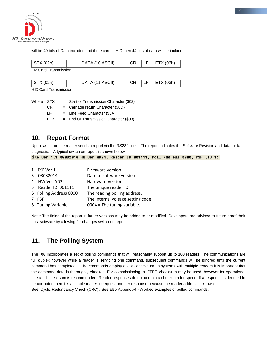

will be 40 bits of Data included and if the card is HID then 44 bits of data will be included.

| STX (02h)                   | DATA (10 ASCII) |  | $\vert$ ETX (03h) |
|-----------------------------|-----------------|--|-------------------|
| <b>EM Card Transmission</b> |                 |  |                   |

| STX (02h)                    | DATA (11 ASCII) |  | ⊤ LE I | $\vert$ ETX (03h) |  |
|------------------------------|-----------------|--|--------|-------------------|--|
| <b>LID Cord Tropomicoion</b> |                 |  |        |                   |  |

HID Card Transmission.

| Where STX |     | $=$ Start of Transmission Character (\$02) |
|-----------|-----|--------------------------------------------|
|           | CR. | $=$ Carriage return Character (\$0D)       |
|           | IF. | $=$ Line Feed Character (\$0A)             |
|           | FTX | $=$ End Of Transmission Character (\$03)   |
|           |     |                                            |

#### **10. Report Format**

Upon switch-on the reader sends a report via the RS232 line. The report indicates the Software Revision and data for fault diagnosis. A typical switch on report is shown below.

iX6 Uer 1.1 08082014 HW Uer AD24, Reader ID 001111, Poll Address 0000, P3F ,TU 16

| 1 iX6 Ver 1.1          | Firmware version                  |
|------------------------|-----------------------------------|
| 3 08082014             | Date of software version          |
| 4 HW Ver AD24          | <b>Hardware Version</b>           |
| 5 Reader ID 001111     | The unique reader ID              |
| 6 Polling Address 0000 | The reading polling address.      |
| 7 P3F                  | The internal voltage setting code |
| 8 Tuning Variable      | $0004$ = The tuning variable.     |

Note: The fields of the report in future versions may be added to or modified. Developers are advised to future proof their host software by allowing for changes switch on report.

#### **11. The Polling System**

The **iX6** incorporates a set of polling commands that will reasonably support up to 100 readers. The communications are full duplex however while a reader is servicing one command, subsequent commands will be ignored until the current command has completed. The commands employ a CRC checksum. In systems with multiple readers it is important that the command data is thoroughly checked. For commissioning, a 'FFFF' checksum may be used, however for operational use a full checksum is recommended. Reader responses do not contain a checksum for speed. If a response is deemed to be corrupted then it is a simple matter to request another response because the reader address is known. See 'Cyclic Redundancy Check (CRC)'. See also Appendix4 - Worked examples of polled commands.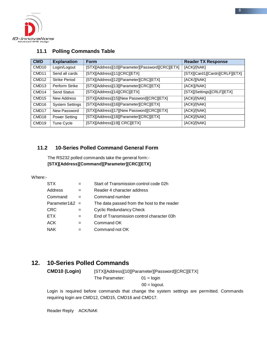

#### **11.1 Polling Commands Table**

| <b>CMD</b>        | <b>Explanation</b>     | Form                                              | <b>Reader TX Response</b>      |
|-------------------|------------------------|---------------------------------------------------|--------------------------------|
| CMD <sub>10</sub> | Login/Logout           | [STX][Address][10][Parameter][Password][CRC][ETX] | [ACK]/[NAK]                    |
| CMD <sub>11</sub> | Send all cards         | [STX][Address][11][CRC][ETX]                      | [STX][Card1][Cardn][CRLF][ETX] |
| CMD <sub>12</sub> | <b>Strike Period</b>   | [STX][Address][12][Parameter][CRC][ETX]           | [ACK/][NAK]                    |
| CMD <sub>13</sub> | Perform Strike         | [STX][Address][13][Parameter][CRC][ETX]           | [ACK][/NAK]                    |
| CMD <sub>14</sub> | <b>Send Status</b>     | [STX][Address][14][CRC][ETX]                      | [STX][Settings][CRLF][ETX]     |
| CMD <sub>15</sub> | New Address            | [STX][Address][15][New Password][CRC][ETX]        | [ACK]/[NAK]                    |
| CMD <sub>16</sub> | <b>System Settings</b> | [STX][Address][16][Parameter][CRC][ETX]           | [ACK]/[NAK]                    |
| CMD <sub>17</sub> | New Password           | [STX][Address][17][New Password][CRC][ETX]        | [ACK]/[NAK]                    |
| CMD <sub>18</sub> | <b>Power Setting</b>   | [STX][Address][18][Parameter][CRC][ETX]           | [ACK]/[NAK]                    |
| CMD <sub>19</sub> | Tune Cycle             | [STX][Address][19][ CRC][ETX]                     | [ACK]/[NAK]                    |

#### **11.2 10-Series Polled Command General Form**

The RS232 polled commands take the general form:- **[STX][Address][Command][Parameter][CRC][ETX]**

Where:-

|     | Start of Transmission control code 02h      |
|-----|---------------------------------------------|
| $=$ | Reader 4 character address                  |
|     | Command number                              |
|     | The data passed from the host to the reader |
|     | <b>Cyclic Redundancy Check</b>              |
| $=$ | End of Transmission control character 03h   |
|     | Command OK                                  |
|     | Command not OK                              |
|     | Parameter1&2 $=$                            |

#### **12. 10-Series Polled Commands**

**CMD10 (Login)** [STX][Address][10][Parameter][Password][CRC][ETX] The Parameter: 01 = login  $00 =$ logout.

Login is required before commands that change the system settings are permitted. Commands requiring login are CMD12, CMD15, CMD16 and CMD17.

Reader Reply ACK/NAK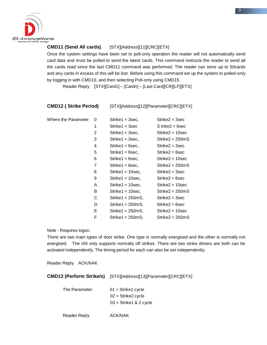

#### **CMD11 (Send All cards)** [STX][Address][11][CRC][ETX]

Once the system settings have been set to poll-only operation the reader will not automatically send card data and must be polled to send the latest cards. This command instructs the reader to send all the cards read since the last CMD11 command was performed. The reader can store up to 50cards and any cards in excess of this will be lost. Before using this command set up the system to polled-only by logging in with CMD10, and then selecting Poll-only using CMD15.

Reader Reply [STX][Card1] – [Cardn] – [Last Card][CR][LF][ETX]

| <b>CMD12 (Strike Period)</b> | [STX][Address][12][Parameter][CRC][ETX] |
|------------------------------|-----------------------------------------|
|------------------------------|-----------------------------------------|

| Where the Parameter | 0              | $Strike1 = 3 sec$ ,  | $Strike2 = 3 sec$  |
|---------------------|----------------|----------------------|--------------------|
|                     | 1              | $Strike1 = 3 sec$    | $S$ trike2 = 6sec  |
|                     | $\overline{2}$ | Strike1 = 3sec,      | $Strike2 = 10 sec$ |
|                     | 3              | $Strike1 = 3 sec$ ,  | $Strike2 = 250mS$  |
|                     | 4              | $Strike1 = 6 sec$ .  | $Strike2 = 3 sec$  |
|                     | 5              | $Strike1 = 6 sec,$   | $Strike2 = 6 sec$  |
|                     | 6              | $Strike1 = 6 sec$ ,  | $Strike2 = 10 sec$ |
|                     | 7              | $Strike1 = 6 sec$ ,  | $Strike2 = 250mS$  |
|                     | 8              | $Strike1 = 10 sec$ , | $Strike2 = 3 sec$  |
|                     | 9              | $Strike1 = 10 sec$ , | $Strike2 = 6 sec$  |
|                     | A              | $Strike1 = 10 sec$ , | $Strike2 = 10 sec$ |
|                     | В              | $Strike1 = 10 sec$ , | $Strike2 = 250mS$  |
|                     | С              | $Strike1 = 250mS$    | $Strike2 = 3 sec$  |
|                     | D              | $Strike1 = 250mS,$   | $Strike2 = 6 sec$  |
|                     | E.             | $Strike1 = 250mS$    | $Strike2 = 10 sec$ |
|                     | F              | Strike1 = 250mS,     | $Strike2 = 250mS$  |

Note - Requires logon.

There are two main types of door strike. One type is normally energised and the other is normally not energised. The iX6 only supports normally off strikes. There are two strike drivers are both can be activated independently. The timing period for each can also be set independently.

Reader Reply ACK/NAK

**CMD13 (Perform Strike/s)** [STX][Address][13][Parameter][CRC][ETX]

| The Parameter: | $01 =$ Strike1 cycle      |
|----------------|---------------------------|
|                | $02 =$ Strike2 cycle      |
|                | $03 =$ Strike 1 & 2 cycle |
|                |                           |

Reader Reply **ACK/NAK**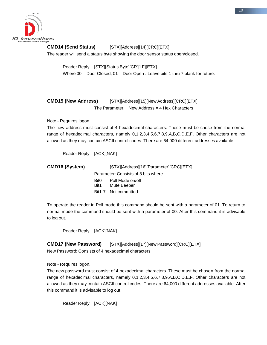

#### **CMD14 (Send Status)** [STX][Address][14][CRC][ETX]

The reader will send a status byte showing the door sensor status open/closed.

Reader Reply [STX][Status Byte][CR][LF][ETX] Where 00 = Door Closed, 01 = Door Open : Leave bits 1 thru 7 blank for future.

**CMD15 (New Address)** [STX][Address][15][New Address][CRC][ETX] The Parameter: New Address = 4 Hex Characters

Note - Requires logon.

The new address must consist of 4 hexadecimal characters. These must be chose from the normal range of hexadecimal characters, namely 0,1,2,3,4,5,6,7,8,9,A,B,C,D,E,F. Other characters are not allowed as they may contain ASCII control codes. There are 64,000 different addresses available.

Reader Reply [ACK][NAK]

| <b>CMD16 (System)</b> | [STX][Address][16][Parameter][CRC][ETX] |                                     |  |
|-----------------------|-----------------------------------------|-------------------------------------|--|
|                       |                                         | Parameter: Consists of 8 bits where |  |
|                       | Bit0.                                   | Poll Mode on/off                    |  |
|                       | Bit1                                    | Mute Beeper                         |  |
|                       |                                         | Bit1-7 Not committed                |  |

To operate the reader in Poll mode this command should be sent with a parameter of 01. To return to normal mode the command should be sent with a parameter of 00. After this command it is advisable to log out.

Reader Reply [ACK][NAK]

**CMD17 (New Password)** [STX][Address][17][New Password][CRC][ETX]

New Password: Consists of 4 hexadecimal characters

Note - Requires logon.

The new password must consist of 4 hexadecimal characters. These must be chosen from the normal range of hexadecimal characters, namely 0,1,2,3,4,5,6,7,8,9,A,B,C,D,E,F. Other characters are not allowed as they may contain ASCII control codes. There are 64,000 different addresses available. After this command it is advisable to log out.

Reader Reply [ACK][NAK]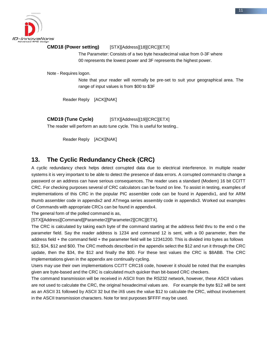

#### **CMD18 (Power setting)** [STX][Address][18][CRC][ETX]

The Parameter: Consists of a two byte hexadecimal value from 0-3F where 00 represents the lowest power and 3F represents the highest power.

Note - Requires logon.

Note that your reader will normally be pre-set to suit your geographical area. The range of input values is from \$00 to \$3F

Reader Reply [ACK][NAK]

**CMD19 (Tune Cycle)** [STX][Address][19][CRC][ETX]

The reader will perform an auto tune cycle. This is useful for testing..

Reader Reply [ACK][NAK]

#### **13. The Cyclic Redundancy Check (CRC)**

A cyclic redundancy check helps detect corrupted data due to electrical interference. In multiple reader systems it is very important to be able to detect the presence of data errors. A corrupted command to change a password or an address can have serious consequences. The reader uses a standard (Modem) 16 bit CCITT CRC. For checking purposes several of CRC calculators can be found on line. To assist in testing, examples of implementations of this CRC in the popular PIC assembler code can be found in Appendix1, and for ARM thumb assembler code in appendix2 and ATmega series assembly code in appendix3. Worked out examples of Commands with appropriate CRCs can be found in appendix4.

The general form of the polled command is as,

[STX][Address][Command][Parameter2][Parameter2][CRC][ETX].

The CRC is calculated by taking each byte of the command starting at the address field thru to the end o the parameter field. Say the reader address is 1234 and command 12 is sent, with a 00 parameter, then the address field + the command field + the parameter field will be 12341200. This is divided into bytes as follows \$12, \$34, \$12 and \$00. The CRC methods described in the appendix select the \$12 and run it through the CRC update, then the \$34, the \$12 and finally the \$00. For these test values the CRC is \$8ABB. The CRC implementations given in the appendix are continually cycling.

Users may use their own implementations CCITT CRC16 code, however it should be noted that the examples given are byte-based and the CRC is calculated much quicker than bit-based CRC checkers.

The command transmission will be received in ASCII from the RS232 network, however, these ASCII values are not used to calculate the CRC, the original hexadecimal values are. For example the byte \$12 will be sent as an ASCII 31 followed by ASCII 32 but the iX6 uses the value \$12 to calculate the CRC, without involvement in the ASCII transmission characters. Note for test purposes \$FFFF may be used.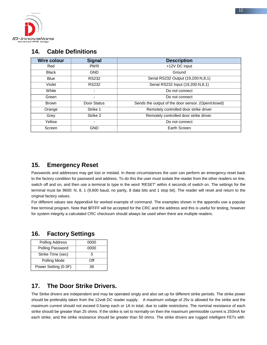

#### **14. Cable Definitions**

| <b>Wire colour</b> | <b>Signal</b>            | <b>Description</b>                                 |  |
|--------------------|--------------------------|----------------------------------------------------|--|
| Red                | <b>PWR</b>               | +12V DC input                                      |  |
| <b>Black</b>       | <b>GND</b>               | Ground                                             |  |
| <b>Blue</b>        | <b>RS232</b>             | Serial RS232 Output (19,200:N,8,1)                 |  |
| Violet             | <b>RS232</b>             | Serial RS232 Input (19,200:N,8,1)                  |  |
| White              | $\overline{\phantom{0}}$ | Do not connect                                     |  |
| Green              | $\overline{\phantom{0}}$ | Do not connect                                     |  |
| <b>Brown</b>       | Door Status              | Sends the output of the door sensor. (Open/closed) |  |
| Orange             | Strike 1                 | Remotely controlled door strike driver             |  |
| Grey               | Strike 2                 | Remotely controlled door strike driver.            |  |
| Yellow             | $\blacksquare$           | Do not connect                                     |  |
| Screen             | <b>GND</b>               | Earth Screen                                       |  |

#### **15. Emergency Reset**

Passwords and addresses may get lost or mislaid. In these circumstances the user can perform an emergency reset back to the factory condition for password and address. To do this the user must isolate the reader from the other readers on line, switch off and on, and then use a terminal to type in the word 'RESET' within 4 seconds of switch on. The settings for the terminal must be 9600: N, 8, 1 (9,600 baud, no parity, 8 data bits and 1 stop bit). The reader will reset and return to the original factory values.

For different values see Appendix4 for worked example of command. The examples shown in the appendix use a popular free terminal program. Note that \$FFFF will be accepted for the CRC and the address and this is useful for testing, however for system integrity a calculated CRC checksum should always be used when there are multiple readers.

#### **16. Factory Settings**

| Polling Address      | 0000 |
|----------------------|------|
| Polling Password     | 0000 |
| Strike Time (sec)    |      |
| Polling Mode         | ∩ff  |
| Power Setting (0-3F) | 38   |

### **17. The Door Strike Drivers.**

The Strike drivers are independent and may be operated singly and also set up for different strike periods. The strike power should be preferably taken from the 12volt DC reader supply. A maximum voltage of 25v is allowed for the strike and the maximum current should not exceed 0.5amp each or 1A in total, due to cable restrictions. The nominal resistance of each strike should be greater than 25 ohms. If the strike is set to normally-on then the maximum permissible current is 250mA for each strike, and the strike resistance should be greater than 50 ohms. The strike drivers are rugged intelligent FETs with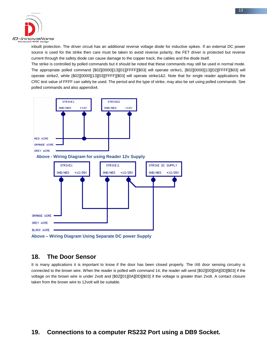

inbuilt protection. The driver circuit has an additional reverse voltage diode for inductive spikes. If an external DC power source is used for the strike then care must be taken to avoid reverse polarity, the FET driver is protected but reverse current through the safety diode can cause damage to the copper track, the cables and the diode itself.

The strike is controlled by polled commands but it should be noted that these commands may still be used in normal mode. The appropriate polled command [\$02][0000][13][01][FFFF][\$03] will operate strike1, [\$02][0000][13][02][FFFF][\$03] will operate strike2, while [\$02][0000][13][03][FFFF][\$03] will operate strike1&2. Note that for single reader applications the CRC test value of FFFF can safely be used. The period and the type of strike, may also be set using polled commands. See polled commands and also appendix4.



#### **18. The Door Sensor**

It is many applications it is important to know if the door has been closed properly. The iX6 door sensing circuitry is connected to the brown wire. When the reader is polled with command 14, the reader will send [\$02][00][0A][0D][\$03] if the voltage on the brown wire is under 2volt and [\$02][01][0A][0D][\$03] if the voltage is greater than 2volt. A contact closure taken from the brown wire to 12volt will be suitable.

### **19. Connections to a computer RS232 Port using a DB9 Socket.**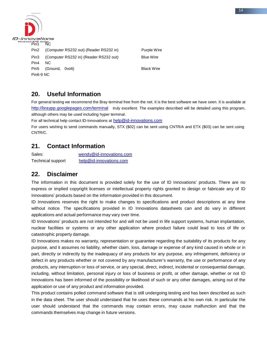

# **20. Useful Information**

For general testing we recommend the Bray terminal free from the net. It is the best software we have seen. It is available at <http://braypp.googlepages.com/terminal>truly excellent. The examples described will be detailed using this program, although others may be used including hyper terminal.

For all technical help contact ID-Innovations at [help@id-innovations.com](mailto:help@id-innovations.com)

For users wishing to send commands manually, STX (\$02) can be sent using CNTR/A and ETX (\$03) can be sent using CNTR/C.

#### **21. Contact Information**

Sales: [wendy@id-innovations.com](mailto:wendy@id-innovations.com) Technical support [help@id-innovations.com](mailto:help@id-innovations.com)

#### **22. Disclaimer**

The information in this document is provided solely for the use of ID Innovations' products. There are no express or implied copyright licenses or intellectual property rights granted to design or fabricate any of ID Innovations' products based on the information provided in this document.

ID Innovations reserves the right to make changes to specifications and product descriptions at any time without notice. The specifications provided in ID Innovations datasheets can and do vary in different applications and actual performance may vary over time.

ID Innovations' products are not intended for and will not be used in life support systems, human implantation, nuclear facilities or systems or any other application where product failure could lead to loss of life or catastrophic property damage.

ID Innovations makes no warranty, representation or guarantee regarding the suitability of its products for any purpose, and it assumes no liability, whether claim, loss, damage or expense of any kind caused in whole or in part, directly or indirectly by the inadequacy of any products for any purpose, any infringement, deficiency or defect in any products whether or not covered by any manufacturer's warranty, the use or performance of any products, any interruption or loss of service, or any special, direct, indirect, incidental or consequential damage, including, without limitation, personal injury or loss of business or profit, or other damage, whether or not ID Innovations has been informed of the possibility or likelihood of such or any other damages, arising out of the application or use of any product and information provided.

This product contains polled command software that is still undergoing testing and has been described as such in the data sheet. The user should understand that he uses these commands at his own risk. In particular the user should understand that the commands may contain errors, may cause malfunction and that the commands themselves may change in future versions.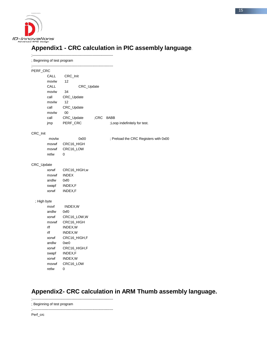

# **Appendix1 - CRC calculation in PIC assembly language**.

|             | ; Beginning of test program |                  |         |                                       |
|-------------|-----------------------------|------------------|---------|---------------------------------------|
| PERF_CRC    |                             |                  |         |                                       |
|             | CALL                        | CRC_Init         |         |                                       |
|             | movlw                       | 12               |         |                                       |
|             | CALL                        | CRC_Update       |         |                                       |
|             | movlw                       | 34               |         |                                       |
|             | call                        | CRC_Update       |         |                                       |
|             | movlw                       | 12               |         |                                       |
|             | call                        | CRC_Update       |         |                                       |
|             | movlw                       | 00               |         |                                       |
|             | call                        | CRC_Update       | $;$ CRC | 8ABB                                  |
|             | jmp                         | PERF_CRC         |         | ;Loop indefinitely for test.          |
| CRC_Init    |                             |                  |         |                                       |
|             | movlw                       | 0x00             |         | ; Preload the CRC Registers with 0x00 |
|             | movwf                       | CRC16_HIGH       |         |                                       |
|             | movwf                       | CRC16_LOW        |         |                                       |
|             | retlw                       | 0                |         |                                       |
| CRC_Update  |                             |                  |         |                                       |
|             | xorwf                       | CRC16_HIGH,w     |         |                                       |
|             | movwf                       | <b>INDEX</b>     |         |                                       |
|             | andlw                       | 0xf0             |         |                                       |
|             | swapf                       | INDEX,F          |         |                                       |
|             | xorwf                       | INDEX,F          |         |                                       |
| ; High byte |                             |                  |         |                                       |
|             | movf                        | INDEX, W         |         |                                       |
|             | andlw                       | 0xf <sub>0</sub> |         |                                       |
|             | xorwf                       | CRC16_LOW,W      |         |                                       |
|             | movwf                       | CRC16_HIGH       |         |                                       |
|             | rlf                         | INDEX, W         |         |                                       |
|             | rlf                         | INDEX, W         |         |                                       |
|             | xorwf                       | CRC16_HIGH,F     |         |                                       |
|             | andlw                       | 0xe0             |         |                                       |
|             | xorwf                       | CRC16_HIGH,F     |         |                                       |
|             | swapf                       | INDEX,F          |         |                                       |
|             | xorwf                       | INDEX, W         |         |                                       |
|             | movwf                       | CRC16_LOW        |         |                                       |
|             | retlw                       | 0                |         |                                       |

# **Appendix2- CRC calculation in ARM Thumb assembly language.**

;----------------------------------------------------------------------

; Beginning of test program

;----------------------------------------------------------------------

Perf\_crc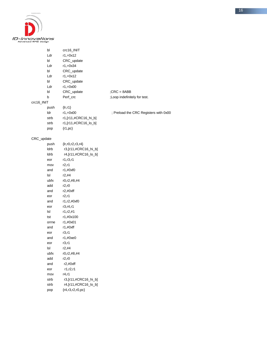

|            | bl    | crc16_INIT             |                                       |
|------------|-------|------------------------|---------------------------------------|
|            | Ldr   | $r1, =0x12$            |                                       |
|            | bl    | CRC_update             |                                       |
|            | Ldr   | $r1, =0x34$            |                                       |
|            | bl    | CRC_update             |                                       |
|            | Ldr   | $r1, = 0x12$           |                                       |
|            | bl    | CRC_update             |                                       |
|            | Ldr   | $r1, =0x00$            |                                       |
|            | bl    | CRC_update             | $;$ CRC = 8ABB                        |
|            | b     | Perf_crc               | ;Loop indefinitely for test.          |
| crc16_INIT |       |                        |                                       |
|            | push  | $\{lr, r1\}$           |                                       |
|            | ldr   | $r1, =0x00$            | ; Preload the CRC Registers with 0x00 |
|            | strb  | r1,[r11,#CRC16_hi_b]   |                                       |
|            | strb  | r1,[r11,#CRC16_lo_b]   |                                       |
|            | pop   | ${r1,pc}$              |                                       |
|            |       |                        |                                       |
| CRC_update |       |                        |                                       |
|            | push  | ${lr, r0, r2, r3, r4}$ |                                       |
|            | Idrb  | r3,[r11,#CRC16_hi_b]   |                                       |
|            | Idrb  | r4,[r11,#CRC16_lo_b]   |                                       |
|            | eor   | r1, r3, r1             |                                       |
|            | mov   | r2,r1                  |                                       |
|            | and   | r1,#0xf0               |                                       |
|            | Isl   | r2,#4                  |                                       |
|            | ubfx  | r0, r2, #8, #4         |                                       |
|            | add   | r2, r0                 |                                       |
|            | and   | r2, #0xff              |                                       |
|            | eor   | r2, r1                 |                                       |
|            | and   | r1,r2,#0xf0            |                                       |
|            | eor   | r3, r4, r1             |                                       |
|            | Isl   | r1, r2, #1             |                                       |
|            | tst   | r1,#0x100              |                                       |
|            | orrne | r1,#0x01               |                                       |
|            | and   | r1,#0xff               |                                       |
|            | eor   | r3, r1                 |                                       |
|            | and   | r1,#0xe0               |                                       |
|            | eor   | r3,r1                  |                                       |
|            | Isl   | r2, #4                 |                                       |
|            | ubfx  | r0, r2, #8, #4         |                                       |
|            | add   | r2, r0                 |                                       |
|            | and   | r2, #0xff              |                                       |
|            | eor   | r1, r2, r1             |                                       |
|            | mov   | r4,r1                  |                                       |
|            | strb  | r3,[r11,#CRC16_hi_b]   |                                       |
|            | strb  | r4,[r11,#CRC16_lo_b]   |                                       |
|            | pop   | ${r4, r3, r2, r0, pc}$ |                                       |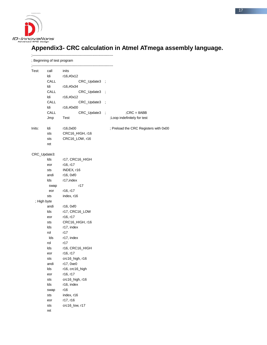

# **Appendix3- CRC calculation in Atmel ATmega assembly language.**

|              | Beginning of test program |                 |                             |                                       |
|--------------|---------------------------|-----------------|-----------------------------|---------------------------------------|
| Test:        | call                      | inits           |                             |                                       |
|              | ldi                       | r16,#0x12       |                             |                                       |
|              | CALL                      | CRC_Update3 ;   |                             |                                       |
|              | ldi                       | r16,#0x34       |                             |                                       |
|              | CALL                      | CRC_Update3     |                             |                                       |
|              | ldi                       | r16,#0x12       |                             |                                       |
|              | CALL                      | CRC_Update3     |                             |                                       |
|              | ldi                       | r16,#0x00       |                             |                                       |
|              | CALL                      | CRC_Update3     | $\mathcal{L}_{\mathcal{A}}$ | $;CRC = 8ABB$                         |
|              | Jmp                       | Test            |                             | ;Loop indefinitely for test           |
| Inits:       | ldi                       | r16,0x00        |                             | ; Preload the CRC Registers with 0x00 |
|              | sts                       | CRC16_HIGH, r16 |                             |                                       |
|              | sts                       | CRC16_LOW, r16  |                             |                                       |
|              | ret                       |                 |                             |                                       |
| CRC_Update3: |                           |                 |                             |                                       |
|              | Ids                       | r17, CRC16_HIGH |                             |                                       |
|              | eor                       | r16, r17        |                             |                                       |
|              | sts                       | INDEX, r16      |                             |                                       |
|              | andi                      | r16, 0xf0       |                             |                                       |
|              | lds                       | r17, index      |                             |                                       |
|              | swap                      | r17             |                             |                                       |
|              | eor                       | r16, r17        |                             |                                       |
|              | sts                       | index, r16      |                             |                                       |
| ; High byte  |                           |                 |                             |                                       |
|              | andi                      | r16, 0xf0       |                             |                                       |
|              | lds                       | r17, CRC16_LOW  |                             |                                       |
|              | eor                       | r16, r17        |                             |                                       |
|              | sts                       | CRC16_HIGH, r16 |                             |                                       |
|              | lds                       | r17, index      |                             |                                       |
|              | rol                       | r17             |                             |                                       |
|              | Ids                       | r17, index      |                             |                                       |
|              | rol                       | r17             |                             |                                       |
|              | Ids                       | r16, CRC16_HIGH |                             |                                       |
|              | eor                       | r16, r17        |                             |                                       |
|              | sts                       | crc16_high, r16 |                             |                                       |
|              | andi                      | r17, 0xe0       |                             |                                       |
|              | Ids                       | r16, crc16_high |                             |                                       |
|              | eor                       | r16, r17        |                             |                                       |
|              | sts                       | crc16_high, r16 |                             |                                       |
|              | Ids                       | r16, index      |                             |                                       |
|              | swap                      | r16             |                             |                                       |
|              | sts                       | index, r16      |                             |                                       |
|              | eor                       | r17, r16        |                             |                                       |
|              | sts                       | crc16_low, r17  |                             |                                       |
|              | ret                       |                 |                             |                                       |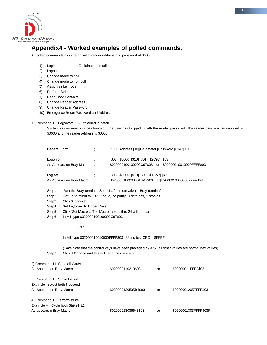

# **Appendix4 - Worked examples of polled commands.**

All polled commands assume an initial reader address and password of 0000

- 1) Login Explained in detail
- 2) Logout
- 3) Change mode to poll
- 4) Change mode to non poll
- 5) Assign strike mode
- 6) Perform Strike
- 7) Read Door Contacts
- 8) Change Reader Address
- 9) Change Reader Password
- 10) Emergence Reset Password and Address

1) Command 10, Logon/off - Explained in detail

System values may only be changed if the user has Logged in with the reader password. The reader password as supplied is \$0000 and the reader address is \$0000

| General Form             | ٠ | [STX][Address][10][Parameter][Password][CRC][ETX]    |
|--------------------------|---|------------------------------------------------------|
| Logon on                 |   | [\$03] [\$0000] [\$10] [\$01] [\$2C97] [\$03]        |
| As Appears on Bray Macro | ÷ | \$020000100100002C97\$03 or \$02000010010000FFFF\$03 |
| Log off                  |   | [\$03] [\$0000] [\$10] [\$00] [\$1BA7] [\$03]        |
| As Appears on Bray Macro | ÷ | \$020000100000001BA7\$03 or\$02000010000000FFFF\$03  |
|                          |   | .                                                    |

- Step1 Run the Bray terminal. See 'Useful Information Bray terminal'
- Step2 Set up terminal to 19200 baud, no parity, 8 data bits, 1 stop bit.
- Step3 Click 'Connect'
- Step4 Set keyboard to Upper Case
- Step5 Click 'Set Macros'. The Macro table 1 thru 24 will appear.
- Step6 In M1 type \$020000100100002C97\$03

#### OR

In M1 type \$02000010010000**FFFF**\$03 - Using test CRC = \$FFFF

(Take Note that the control keys have been preceded by a '\$', all other values are normal hex values) Step7 Click 'M1' once and this will send the command.

| 2) Command 11, Send all Cards     |                      |    |                       |
|-----------------------------------|----------------------|----|-----------------------|
| As Appears on Bray Macro          | \$020000110210\$03   | or | \$02000011FFFF\$03    |
| 3) Command 12, Strike Period      |                      |    |                       |
| Example - select both 6 second    |                      |    |                       |
| As Appears on Bray Macro          | \$020000120535B4\$03 | or | \$0200001205FFFF\$03  |
| 4) Command 13 Perform strike      |                      |    |                       |
| Example - Cycle both Strike 1 & 2 |                      |    |                       |
| As appears n Bray Macro           | \$02000013036643\$03 | or | \$0200001303FFFF\$03R |
|                                   |                      |    |                       |